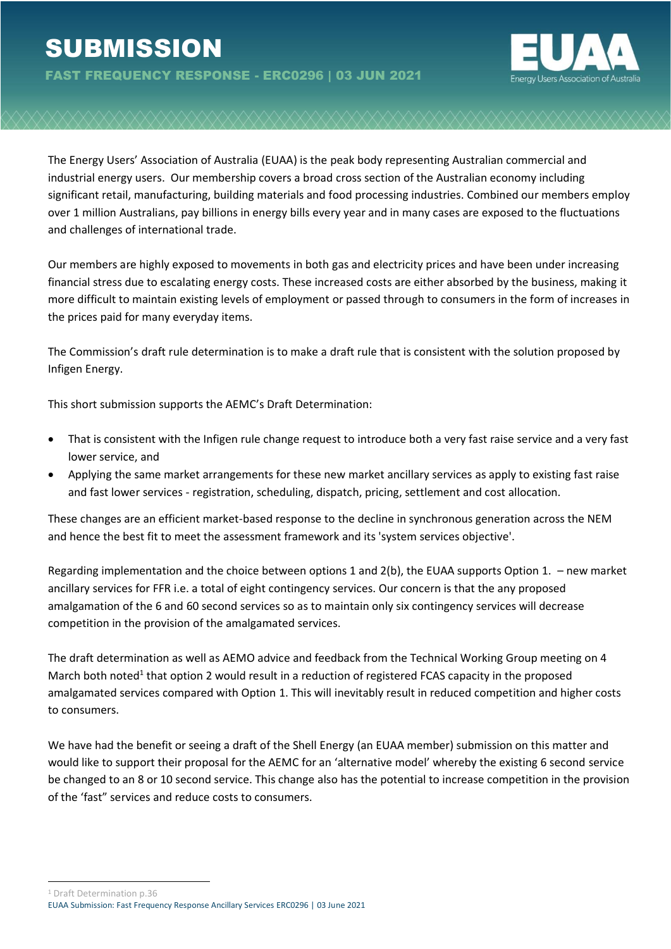

The Energy Users' Association of Australia (EUAA) is the peak body representing Australian commercial and industrial energy users. Our membership covers a broad cross section of the Australian economy including significant retail, manufacturing, building materials and food processing industries. Combined our members employ over 1 million Australians, pay billions in energy bills every year and in many cases are exposed to the fluctuations and challenges of international trade.

Our members are highly exposed to movements in both gas and electricity prices and have been under increasing financial stress due to escalating energy costs. These increased costs are either absorbed by the business, making it more difficult to maintain existing levels of employment or passed through to consumers in the form of increases in the prices paid for many everyday items.

The Commission's draft rule determination is to make a draft rule that is consistent with the solution proposed by Infigen Energy.

This short submission supports the AEMC's Draft Determination:

- That is consistent with the Infigen rule change request to introduce both a very fast raise service and a very fast lower service, and
- Applying the same market arrangements for these new market ancillary services as apply to existing fast raise and fast lower services - registration, scheduling, dispatch, pricing, settlement and cost allocation.

These changes are an efficient market-based response to the decline in synchronous generation across the NEM and hence the best fit to meet the assessment framework and its 'system services objective'.

Regarding implementation and the choice between options 1 and 2(b), the EUAA supports Option 1. – new market ancillary services for FFR i.e. a total of eight contingency services. Our concern is that the any proposed amalgamation of the 6 and 60 second services so as to maintain only six contingency services will decrease competition in the provision of the amalgamated services.

The draft determination as well as AEMO advice and feedback from the Technical Working Group meeting on 4 March both noted<sup>1</sup> that option 2 would result in a reduction of registered FCAS capacity in the proposed amalgamated services compared with Option 1. This will inevitably result in reduced competition and higher costs to consumers.

We have had the benefit or seeing a draft of the Shell Energy (an EUAA member) submission on this matter and would like to support their proposal for the AEMC for an 'alternative model' whereby the existing 6 second service be changed to an 8 or 10 second service. This change also has the potential to increase competition in the provision of the 'fast" services and reduce costs to consumers.

<sup>1</sup> Draft Determination p.36

EUAA Submission: Fast Frequency Response Ancillary Services ERC0296 | 03 June 2021